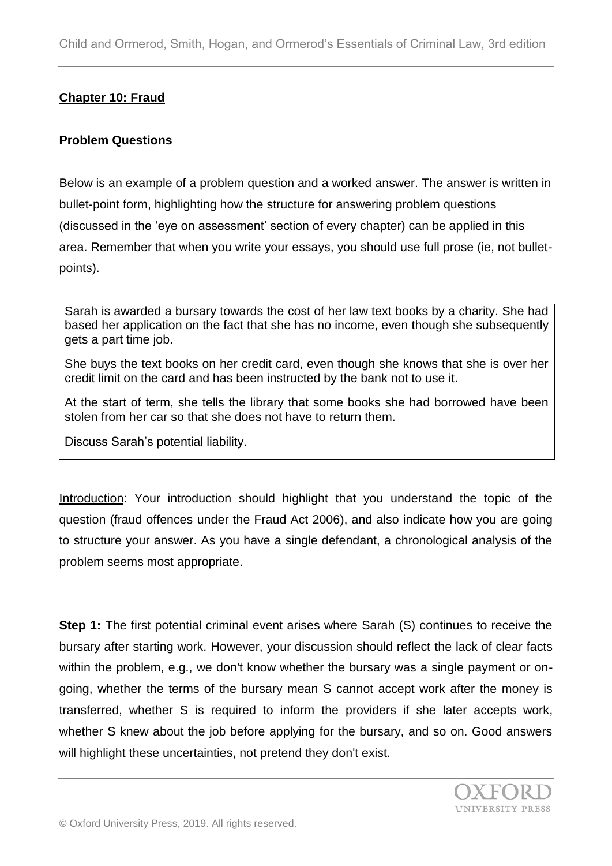## **Chapter 10: Fraud**

#### **Problem Questions**

Below is an example of a problem question and a worked answer. The answer is written in bullet-point form, highlighting how the structure for answering problem questions (discussed in the 'eye on assessment' section of every chapter) can be applied in this area. Remember that when you write your essays, you should use full prose (ie, not bulletpoints).

Sarah is awarded a bursary towards the cost of her law text books by a charity. She had based her application on the fact that she has no income, even though she subsequently gets a part time job.

She buys the text books on her credit card, even though she knows that she is over her credit limit on the card and has been instructed by the bank not to use it.

At the start of term, she tells the library that some books she had borrowed have been stolen from her car so that she does not have to return them.

Discuss Sarah's potential liability.

Introduction: Your introduction should highlight that you understand the topic of the question (fraud offences under the Fraud Act 2006), and also indicate how you are going to structure your answer. As you have a single defendant, a chronological analysis of the problem seems most appropriate.

**Step 1:** The first potential criminal event arises where Sarah (S) continues to receive the bursary after starting work. However, your discussion should reflect the lack of clear facts within the problem, e.g., we don't know whether the bursary was a single payment or ongoing, whether the terms of the bursary mean S cannot accept work after the money is transferred, whether S is required to inform the providers if she later accepts work, whether S knew about the job before applying for the bursary, and so on. Good answers will highlight these uncertainties, not pretend they don't exist.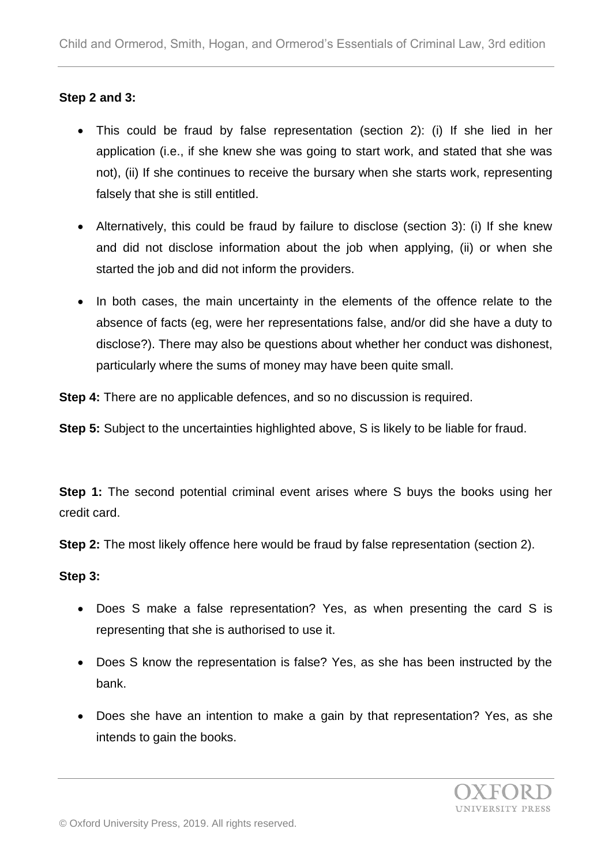## **Step 2 and 3:**

- This could be fraud by false representation (section 2): (i) If she lied in her application (i.e., if she knew she was going to start work, and stated that she was not), (ii) If she continues to receive the bursary when she starts work, representing falsely that she is still entitled.
- Alternatively, this could be fraud by failure to disclose (section 3): (i) If she knew and did not disclose information about the job when applying, (ii) or when she started the job and did not inform the providers.
- In both cases, the main uncertainty in the elements of the offence relate to the absence of facts (eg, were her representations false, and/or did she have a duty to disclose?). There may also be questions about whether her conduct was dishonest, particularly where the sums of money may have been quite small.

**Step 4:** There are no applicable defences, and so no discussion is required.

**Step 5:** Subject to the uncertainties highlighted above, S is likely to be liable for fraud.

**Step 1:** The second potential criminal event arises where S buys the books using her credit card.

**Step 2:** The most likely offence here would be fraud by false representation (section 2).

## **Step 3:**

- Does S make a false representation? Yes, as when presenting the card S is representing that she is authorised to use it.
- Does S know the representation is false? Yes, as she has been instructed by the bank.
- Does she have an intention to make a gain by that representation? Yes, as she intends to gain the books.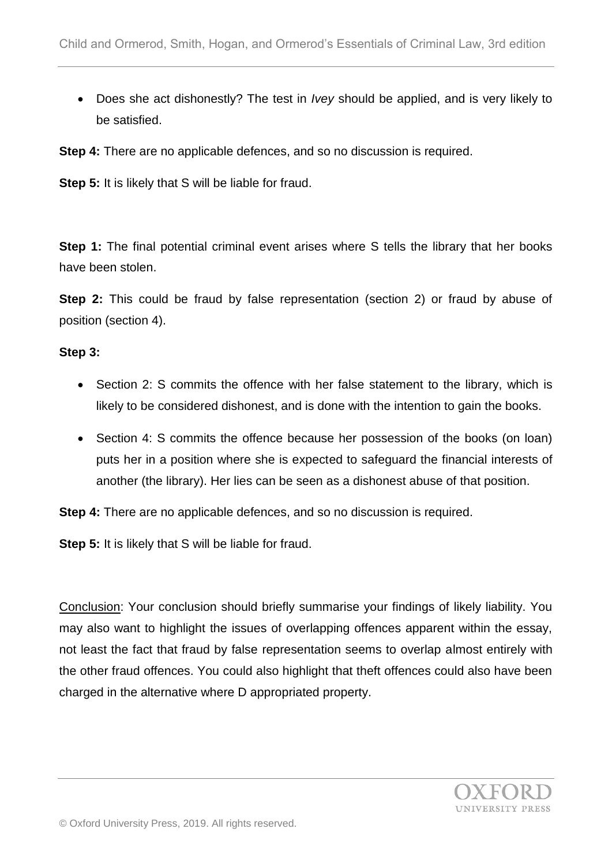Does she act dishonestly? The test in *Ivey* should be applied, and is very likely to be satisfied.

**Step 4:** There are no applicable defences, and so no discussion is required.

**Step 5:** It is likely that S will be liable for fraud.

**Step 1:** The final potential criminal event arises where S tells the library that her books have been stolen.

**Step 2:** This could be fraud by false representation (section 2) or fraud by abuse of position (section 4).

#### **Step 3:**

- Section 2: S commits the offence with her false statement to the library, which is likely to be considered dishonest, and is done with the intention to gain the books.
- Section 4: S commits the offence because her possession of the books (on loan) puts her in a position where she is expected to safeguard the financial interests of another (the library). Her lies can be seen as a dishonest abuse of that position.

**Step 4:** There are no applicable defences, and so no discussion is required.

**Step 5:** It is likely that S will be liable for fraud.

Conclusion: Your conclusion should briefly summarise your findings of likely liability. You may also want to highlight the issues of overlapping offences apparent within the essay, not least the fact that fraud by false representation seems to overlap almost entirely with the other fraud offences. You could also highlight that theft offences could also have been charged in the alternative where D appropriated property.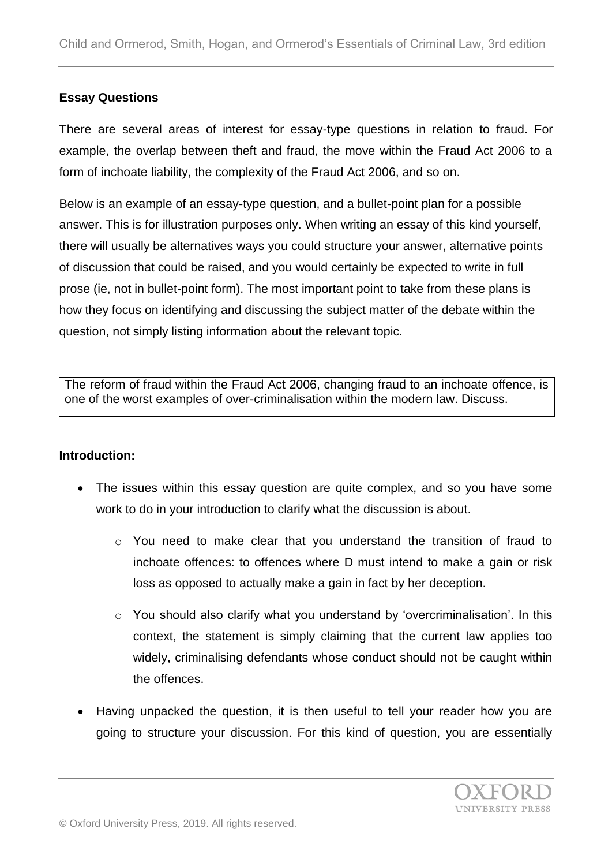## **Essay Questions**

There are several areas of interest for essay-type questions in relation to fraud. For example, the overlap between theft and fraud, the move within the Fraud Act 2006 to a form of inchoate liability, the complexity of the Fraud Act 2006, and so on.

Below is an example of an essay-type question, and a bullet-point plan for a possible answer. This is for illustration purposes only. When writing an essay of this kind yourself, there will usually be alternatives ways you could structure your answer, alternative points of discussion that could be raised, and you would certainly be expected to write in full prose (ie, not in bullet-point form). The most important point to take from these plans is how they focus on identifying and discussing the subject matter of the debate within the question, not simply listing information about the relevant topic.

The reform of fraud within the Fraud Act 2006, changing fraud to an inchoate offence, is one of the worst examples of over-criminalisation within the modern law. Discuss.

## **Introduction:**

- The issues within this essay question are quite complex, and so you have some work to do in your introduction to clarify what the discussion is about.
	- o You need to make clear that you understand the transition of fraud to inchoate offences: to offences where D must intend to make a gain or risk loss as opposed to actually make a gain in fact by her deception.
	- o You should also clarify what you understand by 'overcriminalisation'. In this context, the statement is simply claiming that the current law applies too widely, criminalising defendants whose conduct should not be caught within the offences.
- Having unpacked the question, it is then useful to tell your reader how you are going to structure your discussion. For this kind of question, you are essentially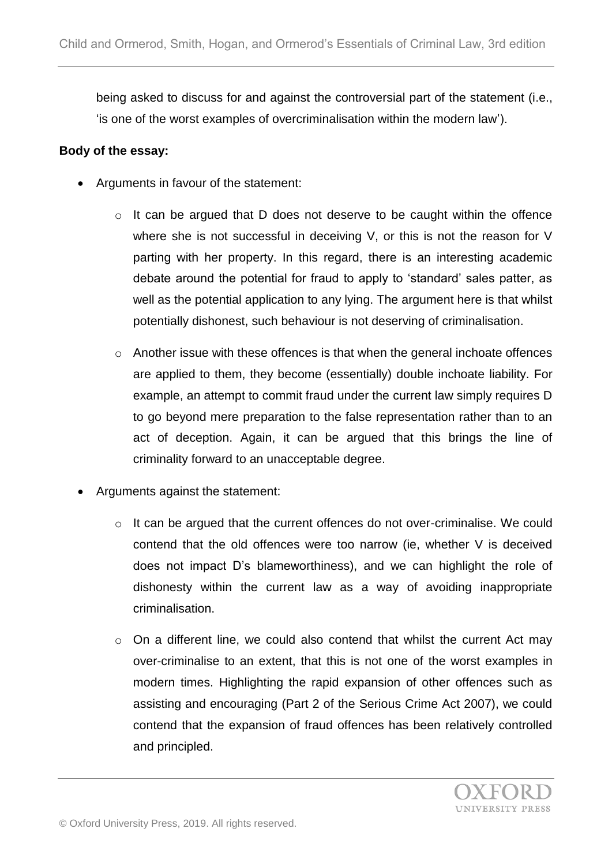being asked to discuss for and against the controversial part of the statement (i.e., 'is one of the worst examples of overcriminalisation within the modern law').

## **Body of the essay:**

- Arguments in favour of the statement:
	- o It can be argued that D does not deserve to be caught within the offence where she is not successful in deceiving V, or this is not the reason for V parting with her property. In this regard, there is an interesting academic debate around the potential for fraud to apply to 'standard' sales patter, as well as the potential application to any lying. The argument here is that whilst potentially dishonest, such behaviour is not deserving of criminalisation.
	- o Another issue with these offences is that when the general inchoate offences are applied to them, they become (essentially) double inchoate liability. For example, an attempt to commit fraud under the current law simply requires D to go beyond mere preparation to the false representation rather than to an act of deception. Again, it can be argued that this brings the line of criminality forward to an unacceptable degree.
- Arguments against the statement:
	- o It can be argued that the current offences do not over-criminalise. We could contend that the old offences were too narrow (ie, whether V is deceived does not impact D's blameworthiness), and we can highlight the role of dishonesty within the current law as a way of avoiding inappropriate criminalisation.
	- $\circ$  On a different line, we could also contend that whilst the current Act may over-criminalise to an extent, that this is not one of the worst examples in modern times. Highlighting the rapid expansion of other offences such as assisting and encouraging (Part 2 of the Serious Crime Act 2007), we could contend that the expansion of fraud offences has been relatively controlled and principled.